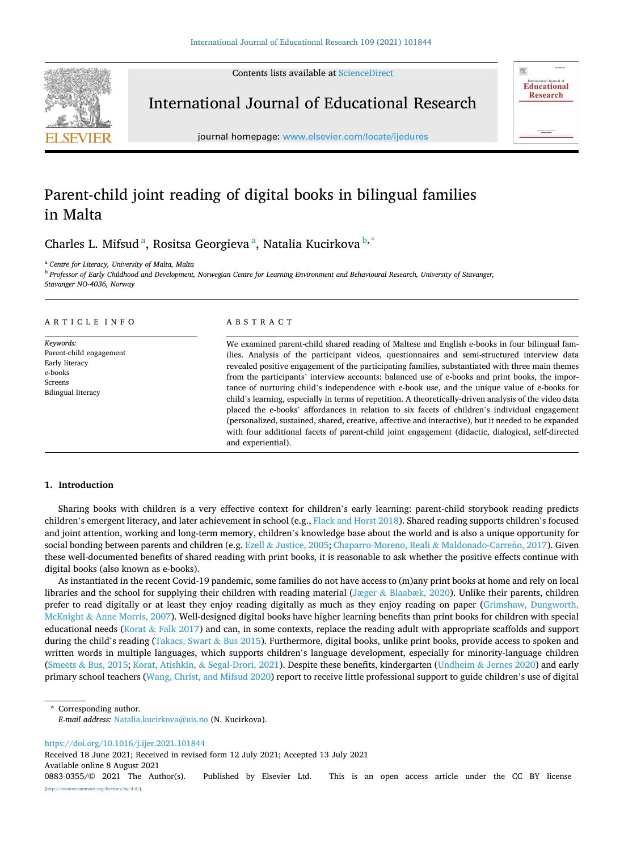Contents lists available at [ScienceDirect](www.sciencedirect.com/science/journal/08830355)



International Journal of Educational Research



journal homepage: [www.elsevier.com/locate/ijedures](https://www.elsevier.com/locate/ijedures) 

# Parent-child joint reading of digital books in bilingual families in Malta

Charles L. Mifsud<sup>a</sup>, Rositsa Georgieva<sup>a</sup>, Natalia Kucirkova<sup>b,\*</sup>

<sup>a</sup> *Centre for Literacy, University of Malta, Malta* 

<sup>b</sup> *Professor of Early Childhood and Development, Norwegian Centre for Learning Environment and Behavioural Research, University of Stavanger,* 

*Stavanger NO-4036, Norway* 

# ARTICLE INFO

*Keywords:*  Parent-child engagement Early literacy e-books Screens Bilingual literacy

# ABSTRACT

We examined parent-child shared reading of Maltese and English e-books in four bilingual families. Analysis of the participant videos, questionnaires and semi-structured interview data revealed positive engagement of the participating families, substantiated with three main themes from the participants' interview accounts: balanced use of e-books and print books, the importance of nurturing child's independence with e-book use, and the unique value of e-books for child's learning, especially in terms of repetition. A theoretically-driven analysis of the video data placed the e-books' affordances in relation to six facets of children's individual engagement (personalized, sustained, shared, creative, affective and interactive), but it needed to be expanded with four additional facets of parent-child joint engagement (didactic, dialogical, self-directed and experiential).

# **1. Introduction**

Sharing books with children is a very effective context for children's early learning: parent-child storybook reading predicts children's emergent literacy, and later achievement in school (e.g., [Flack and Horst 2018](#page-9-0)). Shared reading supports children's focused and joint attention, working and long-term memory, children's knowledge base about the world and is also a unique opportunity for social bonding between parents and children (e.g. Ezell & [Justice, 2005](#page-9-0); [Chaparro-Moreno, Reali](#page-9-0) & Maldonado-Carreño, 2017). Given these well-documented benefits of shared reading with print books, it is reasonable to ask whether the positive effects continue with digital books (also known as e-books).

As instantiated in the recent Covid-19 pandemic, some families do not have access to (m)any print books at home and rely on local libraries and the school for supplying their children with reading material (Jæger & [Blaabæk, 2020\)](#page-9-0). Unlike their parents, children prefer to read digitally or at least they enjoy reading digitally as much as they enjoy reading on paper ([Grimshaw, Dungworth,](#page-9-0) McKnight & [Anne Morris, 2007](#page-9-0)). Well-designed digital books have higher learning benefits than print books for children with special educational needs (Korat & [Falk 2017](#page-9-0)) and can, in some contexts, replace the reading adult with appropriate scaffolds and support during the child's reading ([Takacs, Swart](#page-10-0) & Bus 2015). Furthermore, digital books, unlike print books, provide access to spoken and written words in multiple languages, which supports children's language development, especially for minority-language children (Smeets & [Bus, 2015;](#page-10-0) Korat, Atishkin, & [Segal-Drori, 2021\)](#page-9-0). Despite these benefits, kindergarten (Undheim & [Jernes 2020](#page-10-0)) and early primary school teachers ([Wang, Christ, and Mifsud 2020](#page-10-0)) report to receive little professional support to guide children's use of digital

Corresponding author.

*E-mail address:* [Natalia.kucirkova@uis.no](mailto:Natalia.kucirkova@uis.no) (N. Kucirkova).

<https://doi.org/10.1016/j.ijer.2021.101844>

Received 18 June 2021; Received in revised form 12 July 2021; Accepted 13 July 2021

Available online 8 August 2021

<sup>0883-0355/© 2021</sup> The Author(s). Published by Elsevier Ltd. This is an open access article under the CC BY license [\(http://creativecommons.org/licenses/by/4.0/\)](http://creativecommons.org/licenses/by/4.0/).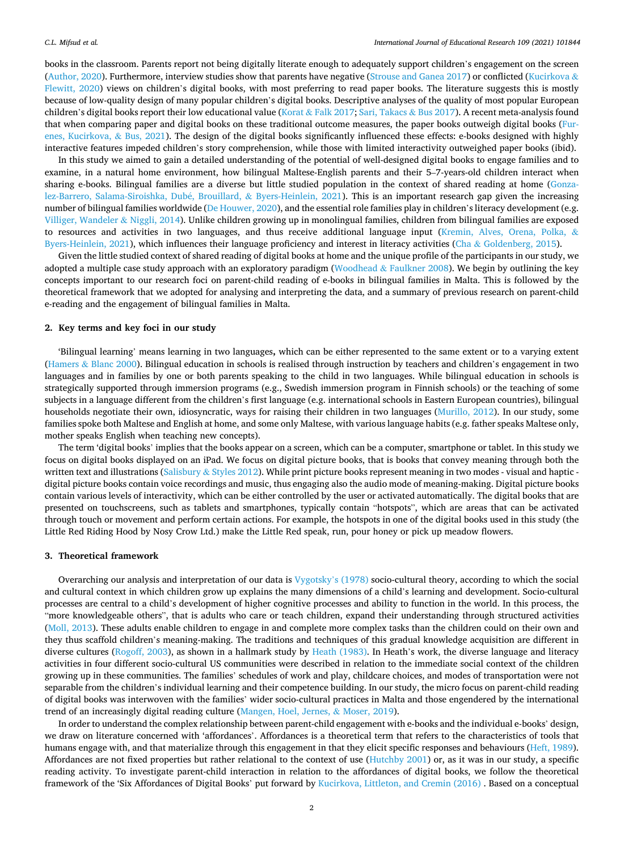books in the classroom. Parents report not being digitally literate enough to adequately support children's engagement on the screen [\(Author, 2020\)](#page-9-0). Furthermore, interview studies show that parents have negative [\(Strouse and Ganea 2017\)](#page-10-0) or conflicted [\(Kucirkova](#page-9-0) & [Flewitt, 2020\)](#page-9-0) views on children's digital books, with most preferring to read paper books. The literature suggests this is mostly because of low-quality design of many popular children's digital books. Descriptive analyses of the quality of most popular European children's digital books report their low educational value (Korat & [Falk 2017](#page-9-0); [Sari, Takacs](#page-10-0) & Bus 2017). A recent meta-analysis found that when comparing paper and digital books on these traditional outcome measures, the paper books outweigh digital books ([Fur](#page-9-0)[enes, Kucirkova,](#page-9-0) & Bus, 2021). The design of the digital books significantly influenced these effects: e-books designed with highly interactive features impeded children's story comprehension, while those with limited interactivity outweighed paper books (ibid).

In this study we aimed to gain a detailed understanding of the potential of well-designed digital books to engage families and to examine, in a natural home environment, how bilingual Maltese-English parents and their 5–7-years-old children interact when sharing e-books. Bilingual families are a diverse but little studied population in the context of shared reading at home ([Gonza](#page-9-0)[lez-Barrero, Salama-Siroishka, Dub](#page-9-0)é, Brouillard, & Byers-Heinlein, 2021). This is an important research gap given the increasing number of bilingual families worldwide ([De Houwer, 2020\)](#page-9-0), and the essential role families play in children's literacy development (e.g. [Villiger, Wandeler](#page-10-0) & Niggli, 2014). Unlike children growing up in monolingual families, children from bilingual families are exposed to resources and activities in two languages, and thus receive additional language input [\(Kremin, Alves, Orena, Polka,](#page-9-0) & [Byers-Heinlein, 2021](#page-9-0)), which influences their language proficiency and interest in literacy activities (Cha & [Goldenberg, 2015\)](#page-9-0).

Given the little studied context of shared reading of digital books at home and the unique profile of the participants in our study, we adopted a multiple case study approach with an exploratory paradigm (Woodhead & [Faulkner 2008\)](#page-10-0). We begin by outlining the key concepts important to our research foci on parent-child reading of e-books in bilingual families in Malta. This is followed by the theoretical framework that we adopted for analysing and interpreting the data, and a summary of previous research on parent-child e-reading and the engagement of bilingual families in Malta.

# **2. Key terms and key foci in our study**

'Bilingual learning' means learning in two languages**,** which can be either represented to the same extent or to a varying extent (Hamers & [Blanc 2000](#page-9-0)). Bilingual education in schools is realised through instruction by teachers and children's engagement in two languages and in families by one or both parents speaking to the child in two languages. While bilingual education in schools is strategically supported through immersion programs (e.g., Swedish immersion program in Finnish schools) or the teaching of some subjects in a language different from the children's first language (e.g. international schools in Eastern European countries), bilingual households negotiate their own, idiosyncratic, ways for raising their children in two languages [\(Murillo, 2012\)](#page-9-0). In our study, some families spoke both Maltese and English at home, and some only Maltese, with various language habits (e.g. father speaks Maltese only, mother speaks English when teaching new concepts).

The term 'digital books' implies that the books appear on a screen, which can be a computer, smartphone or tablet. In this study we focus on digital books displayed on an iPad. We focus on digital picture books, that is books that convey meaning through both the written text and illustrations (Salisbury & [Styles 2012](#page-10-0)). While print picture books represent meaning in two modes - visual and haptic digital picture books contain voice recordings and music, thus engaging also the audio mode of meaning-making. Digital picture books contain various levels of interactivity, which can be either controlled by the user or activated automatically. The digital books that are presented on touchscreens, such as tablets and smartphones, typically contain "hotspots", which are areas that can be activated through touch or movement and perform certain actions. For example, the hotspots in one of the digital books used in this study (the Little Red Riding Hood by Nosy Crow Ltd.) make the Little Red speak, run, pour honey or pick up meadow flowers.

# **3. Theoretical framework**

Overarching our analysis and interpretation of our data is [Vygotsky](#page-10-0)'s (1978) socio-cultural theory, according to which the social and cultural context in which children grow up explains the many dimensions of a child's learning and development. Socio-cultural processes are central to a child's development of higher cognitive processes and ability to function in the world. In this process, the "more knowledgeable others", that is adults who care or teach children, expand their understanding through structured activities [\(Moll, 2013\)](#page-9-0). These adults enable children to engage in and complete more complex tasks than the children could on their own and they thus scaffold children's meaning-making. The traditions and techniques of this gradual knowledge acquisition are different in diverse cultures [\(Rogoff, 2003](#page-10-0)), as shown in a hallmark study by [Heath \(1983\)](#page-9-0). In Heath's work, the diverse language and literacy activities in four different socio-cultural US communities were described in relation to the immediate social context of the children growing up in these communities. The families' schedules of work and play, childcare choices, and modes of transportation were not separable from the children's individual learning and their competence building. In our study, the micro focus on parent-child reading of digital books was interwoven with the families' wider socio-cultural practices in Malta and those engendered by the international trend of an increasingly digital reading culture ([Mangen, Hoel, Jernes,](#page-9-0) & Moser, 2019).

In order to understand the complex relationship between parent-child engagement with e-books and the individual e-books' design, we draw on literature concerned with 'affordances'. Affordances is a theoretical term that refers to the characteristics of tools that humans engage with, and that materialize through this engagement in that they elicit specific responses and behaviours ([Heft, 1989](#page-9-0)). Affordances are not fixed properties but rather relational to the context of use [\(Hutchby 2001](#page-9-0)) or, as it was in our study, a specific reading activity. To investigate parent-child interaction in relation to the affordances of digital books, we follow the theoretical framework of the 'Six Affordances of Digital Books' put forward by [Kucirkova, Littleton, and Cremin \(2016\)](#page-9-0) . Based on a conceptual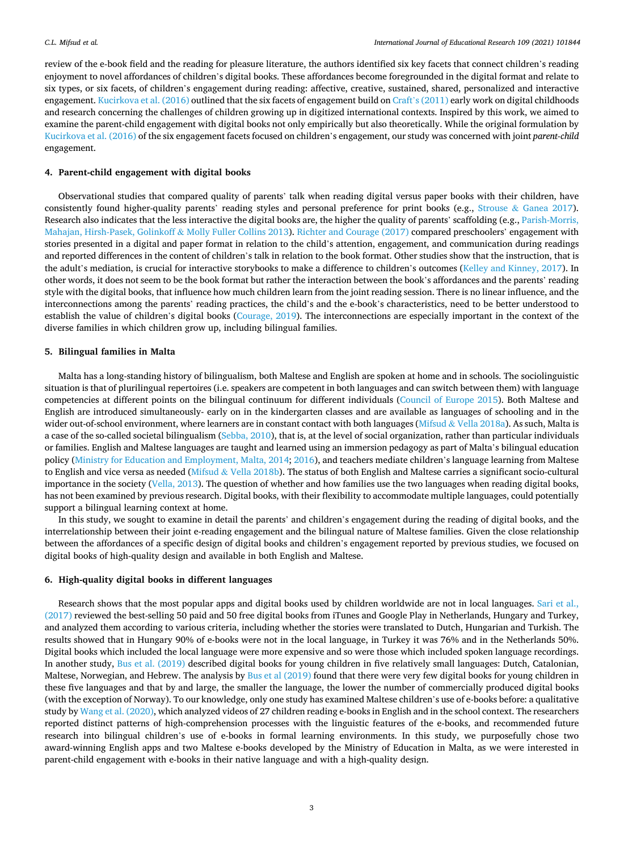review of the e-book field and the reading for pleasure literature, the authors identified six key facets that connect children's reading enjoyment to novel affordances of children's digital books. These affordances become foregrounded in the digital format and relate to six types, or six facets, of children's engagement during reading: affective, creative, sustained, shared, personalized and interactive engagement. [Kucirkova et al. \(2016\)](#page-9-0) outlined that the six facets of engagement build on Craft'[s \(2011\)](#page-9-0) early work on digital childhoods and research concerning the challenges of children growing up in digitized international contexts. Inspired by this work, we aimed to examine the parent-child engagement with digital books not only empirically but also theoretically. While the original formulation by [Kucirkova et al. \(2016\)](#page-9-0) of the six engagement facets focused on children's engagement, our study was concerned with joint *parent-child*  engagement.

# **4. Parent-child engagement with digital books**

Observational studies that compared quality of parents' talk when reading digital versus paper books with their children, have consistently found higher-quality parents' reading styles and personal preference for print books (e.g., Strouse & [Ganea 2017](#page-10-0)). Research also indicates that the less interactive the digital books are, the higher the quality of parents' scaffolding (e.g., [Parish-Morris,](#page-9-0) [Mahajan, Hirsh-Pasek, Golinkoff](#page-9-0) & Molly Fuller Collins 2013). [Richter and Courage \(2017\)](#page-10-0) compared preschoolers' engagement with stories presented in a digital and paper format in relation to the child's attention, engagement, and communication during readings and reported differences in the content of children's talk in relation to the book format. Other studies show that the instruction, that is the adult's mediation, is crucial for interactive storybooks to make a difference to children's outcomes [\(Kelley and Kinney, 2017\)](#page-9-0). In other words, it does not seem to be the book format but rather the interaction between the book's affordances and the parents' reading style with the digital books, that influence how much children learn from the joint reading session. There is no linear influence, and the interconnections among the parents' reading practices, the child's and the e-book's characteristics, need to be better understood to establish the value of children's digital books ([Courage, 2019\)](#page-9-0). The interconnections are especially important in the context of the diverse families in which children grow up, including bilingual families.

# **5. Bilingual families in Malta**

Malta has a long-standing history of bilingualism, both Maltese and English are spoken at home and in schools. The sociolinguistic situation is that of plurilingual repertoires (i.e. speakers are competent in both languages and can switch between them) with language competencies at different points on the bilingual continuum for different individuals [\(Council of Europe 2015\)](#page-9-0). Both Maltese and English are introduced simultaneously- early on in the kindergarten classes and are available as languages of schooling and in the wider out-of-school environment, where learners are in constant contact with both languages (Mifsud & [Vella 2018a\)](#page-9-0). As such, Malta is a case of the so-called societal bilingualism [\(Sebba, 2010](#page-10-0)), that is, at the level of social organization, rather than particular individuals or families. English and Maltese languages are taught and learned using an immersion pedagogy as part of Malta's bilingual education policy [\(Ministry for Education and Employment, Malta, 2014](#page-9-0); [2016](#page-9-0)), and teachers mediate children's language learning from Maltese to English and vice versa as needed (Mifsud & [Vella 2018b\)](#page-9-0). The status of both English and Maltese carries a significant socio-cultural importance in the society ([Vella, 2013\)](#page-10-0). The question of whether and how families use the two languages when reading digital books, has not been examined by previous research. Digital books, with their flexibility to accommodate multiple languages, could potentially support a bilingual learning context at home.

In this study, we sought to examine in detail the parents' and children's engagement during the reading of digital books, and the interrelationship between their joint e-reading engagement and the bilingual nature of Maltese families. Given the close relationship between the affordances of a specific design of digital books and children's engagement reported by previous studies, we focused on digital books of high-quality design and available in both English and Maltese.

# **6. High-quality digital books in different languages**

Research shows that the most popular apps and digital books used by children worldwide are not in local languages. [Sari et al.,](#page-10-0) [\(2017\)](#page-10-0) reviewed the best-selling 50 paid and 50 free digital books from iTunes and Google Play in Netherlands, Hungary and Turkey, and analyzed them according to various criteria, including whether the stories were translated to Dutch, Hungarian and Turkish. The results showed that in Hungary 90% of e-books were not in the local language, in Turkey it was 76% and in the Netherlands 50%. Digital books which included the local language were more expensive and so were those which included spoken language recordings. In another study, [Bus et al. \(2019\)](#page-9-0) described digital books for young children in five relatively small languages: Dutch, Catalonian, Maltese, Norwegian, and Hebrew. The analysis by [Bus et al \(2019\)](#page-9-0) found that there were very few digital books for young children in these five languages and that by and large, the smaller the language, the lower the number of commercially produced digital books (with the exception of Norway). To our knowledge, only one study has examined Maltese children's use of e-books before: a qualitative study by [Wang et al. \(2020\)](#page-10-0), which analyzed videos of 27 children reading e-books in English and in the school context. The researchers reported distinct patterns of high-comprehension processes with the linguistic features of the e-books, and recommended future research into bilingual children's use of e-books in formal learning environments. In this study, we purposefully chose two award-winning English apps and two Maltese e-books developed by the Ministry of Education in Malta, as we were interested in parent-child engagement with e-books in their native language and with a high-quality design.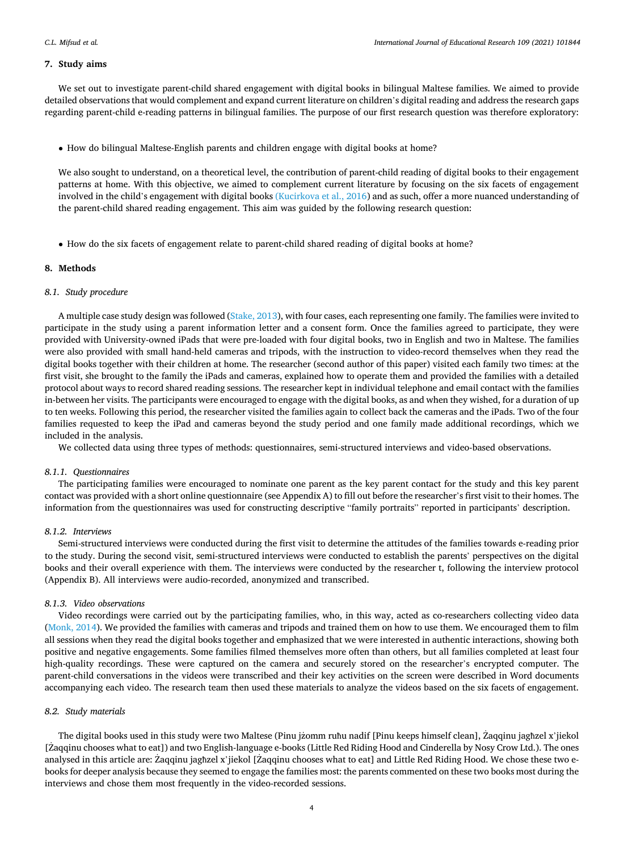# **7. Study aims**

We set out to investigate parent-child shared engagement with digital books in bilingual Maltese families. We aimed to provide detailed observations that would complement and expand current literature on children's digital reading and address the research gaps regarding parent-child e-reading patterns in bilingual families. The purpose of our first research question was therefore exploratory:

• How do bilingual Maltese-English parents and children engage with digital books at home?

We also sought to understand, on a theoretical level, the contribution of parent-child reading of digital books to their engagement patterns at home. With this objective, we aimed to complement current literature by focusing on the six facets of engagement involved in the child's engagement with digital books [\(Kucirkova et al., 2016](#page-9-0)) and as such, offer a more nuanced understanding of the parent-child shared reading engagement. This aim was guided by the following research question:

• How do the six facets of engagement relate to parent-child shared reading of digital books at home?

# **8. Methods**

# *8.1. Study procedure*

A multiple case study design was followed [\(Stake, 2013](#page-10-0)), with four cases, each representing one family. The families were invited to participate in the study using a parent information letter and a consent form. Once the families agreed to participate, they were provided with University-owned iPads that were pre-loaded with four digital books, two in English and two in Maltese. The families were also provided with small hand-held cameras and tripods, with the instruction to video-record themselves when they read the digital books together with their children at home. The researcher (second author of this paper) visited each family two times: at the first visit, she brought to the family the iPads and cameras, explained how to operate them and provided the families with a detailed protocol about ways to record shared reading sessions. The researcher kept in individual telephone and email contact with the families in-between her visits. The participants were encouraged to engage with the digital books, as and when they wished, for a duration of up to ten weeks. Following this period, the researcher visited the families again to collect back the cameras and the iPads. Two of the four families requested to keep the iPad and cameras beyond the study period and one family made additional recordings, which we included in the analysis.

We collected data using three types of methods: questionnaires, semi-structured interviews and video-based observations.

#### *8.1.1. Questionnaires*

The participating families were encouraged to nominate one parent as the key parent contact for the study and this key parent contact was provided with a short online questionnaire (see Appendix A) to fill out before the researcher's first visit to their homes. The information from the questionnaires was used for constructing descriptive "family portraits" reported in participants' description.

# *8.1.2. Interviews*

Semi-structured interviews were conducted during the first visit to determine the attitudes of the families towards e-reading prior to the study. During the second visit, semi-structured interviews were conducted to establish the parents' perspectives on the digital books and their overall experience with them. The interviews were conducted by the researcher t, following the interview protocol (Appendix B). All interviews were audio-recorded, anonymized and transcribed.

# *8.1.3. Video observations*

Video recordings were carried out by the participating families, who, in this way, acted as co-researchers collecting video data [\(Monk, 2014](#page-9-0)). We provided the families with cameras and tripods and trained them on how to use them. We encouraged them to film all sessions when they read the digital books together and emphasized that we were interested in authentic interactions, showing both positive and negative engagements. Some families filmed themselves more often than others, but all families completed at least four high-quality recordings. These were captured on the camera and securely stored on the researcher's encrypted computer. The parent-child conversations in the videos were transcribed and their key activities on the screen were described in Word documents accompanying each video. The research team then used these materials to analyze the videos based on the six facets of engagement.

# *8.2. Study materials*

The digital books used in this study were two Maltese (Pinu jzomm ruħu nadif [Pinu keeps himself clean], Zaqqinu jagħzel x'jiekol [Zaqqinu chooses what to eat]) and two English-language e-books (Little Red Riding Hood and Cinderella by Nosy Crow Ltd.). The ones analysed in this article are: Zaqqinu jagħzel x'jiekol [Zaqqinu chooses what to eat] and Little Red Riding Hood. We chose these two ebooks for deeper analysis because they seemed to engage the families most: the parents commented on these two books most during the interviews and chose them most frequently in the video-recorded sessions.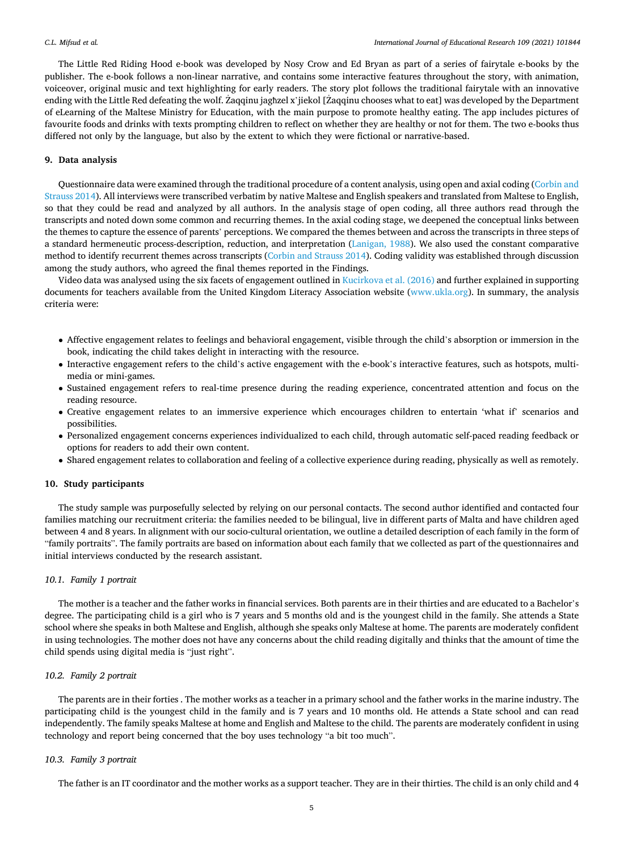The Little Red Riding Hood e-book was developed by Nosy Crow and Ed Bryan as part of a series of fairytale e-books by the publisher. The e-book follows a non-linear narrative, and contains some interactive features throughout the story, with animation, voiceover, original music and text highlighting for early readers. The story plot follows the traditional fairytale with an innovative ending with the Little Red defeating the wolf. Zaqqinu ˙ jagħzel x'jiekol [Zaqqinu ˙ chooses what to eat] was developed by the Department of eLearning of the Maltese Ministry for Education, with the main purpose to promote healthy eating. The app includes pictures of favourite foods and drinks with texts prompting children to reflect on whether they are healthy or not for them. The two e-books thus differed not only by the language, but also by the extent to which they were fictional or narrative-based.

# **9. Data analysis**

Questionnaire data were examined through the traditional procedure of a content analysis, using open and axial coding ([Corbin and](#page-9-0) [Strauss 2014\)](#page-9-0). All interviews were transcribed verbatim by native Maltese and English speakers and translated from Maltese to English, so that they could be read and analyzed by all authors. In the analysis stage of open coding, all three authors read through the transcripts and noted down some common and recurring themes. In the axial coding stage, we deepened the conceptual links between the themes to capture the essence of parents' perceptions. We compared the themes between and across the transcripts in three steps of a standard hermeneutic process-description, reduction, and interpretation [\(Lanigan, 1988](#page-9-0)). We also used the constant comparative method to identify recurrent themes across transcripts ([Corbin and Strauss 2014](#page-9-0)). Coding validity was established through discussion among the study authors, who agreed the final themes reported in the Findings.

Video data was analysed using the six facets of engagement outlined in [Kucirkova et al. \(2016\)](#page-9-0) and further explained in supporting documents for teachers available from the United Kingdom Literacy Association website [\(www.ukla.org\)](http://www.ukla.org). In summary, the analysis criteria were:

- Affective engagement relates to feelings and behavioral engagement, visible through the child's absorption or immersion in the book, indicating the child takes delight in interacting with the resource.
- Interactive engagement refers to the child's active engagement with the e-book's interactive features, such as hotspots, multimedia or mini-games.
- Sustained engagement refers to real-time presence during the reading experience, concentrated attention and focus on the reading resource.
- Creative engagement relates to an immersive experience which encourages children to entertain 'what if' scenarios and possibilities.
- Personalized engagement concerns experiences individualized to each child, through automatic self-paced reading feedback or options for readers to add their own content.
- Shared engagement relates to collaboration and feeling of a collective experience during reading, physically as well as remotely.

# **10. Study participants**

The study sample was purposefully selected by relying on our personal contacts. The second author identified and contacted four families matching our recruitment criteria: the families needed to be bilingual, live in different parts of Malta and have children aged between 4 and 8 years. In alignment with our socio-cultural orientation, we outline a detailed description of each family in the form of "family portraits". The family portraits are based on information about each family that we collected as part of the questionnaires and initial interviews conducted by the research assistant.

# *10.1. Family 1 portrait*

The mother is a teacher and the father works in financial services. Both parents are in their thirties and are educated to a Bachelor's degree. The participating child is a girl who is 7 years and 5 months old and is the youngest child in the family. She attends a State school where she speaks in both Maltese and English, although she speaks only Maltese at home. The parents are moderately confident in using technologies. The mother does not have any concerns about the child reading digitally and thinks that the amount of time the child spends using digital media is "just right".

# *10.2. Family 2 portrait*

The parents are in their forties . The mother works as a teacher in a primary school and the father works in the marine industry. The participating child is the youngest child in the family and is 7 years and 10 months old. He attends a State school and can read independently. The family speaks Maltese at home and English and Maltese to the child. The parents are moderately confident in using technology and report being concerned that the boy uses technology "a bit too much".

# *10.3. Family 3 portrait*

The father is an IT coordinator and the mother works as a support teacher. They are in their thirties. The child is an only child and 4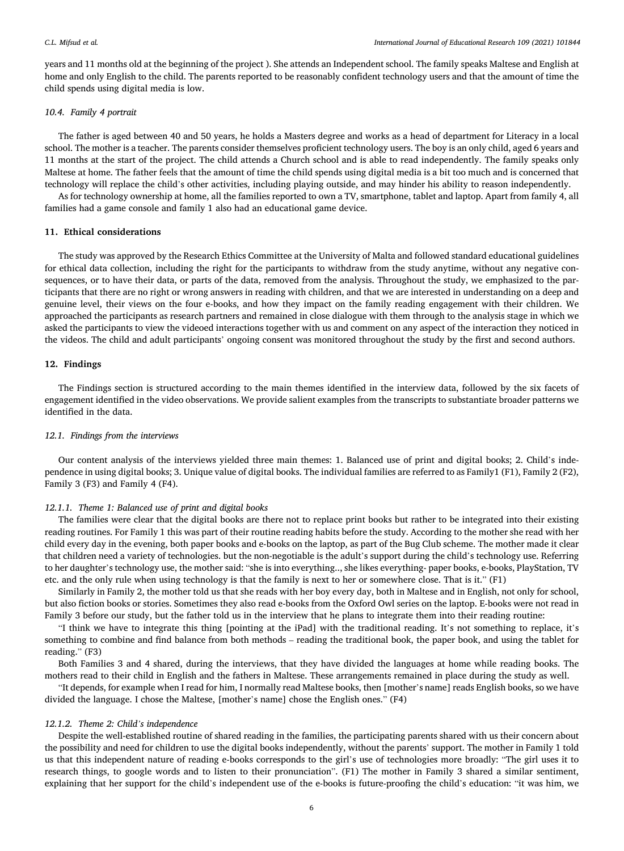years and 11 months old at the beginning of the project ). She attends an Independent school. The family speaks Maltese and English at home and only English to the child. The parents reported to be reasonably confident technology users and that the amount of time the child spends using digital media is low.

# *10.4. Family 4 portrait*

The father is aged between 40 and 50 years, he holds a Masters degree and works as a head of department for Literacy in a local school. The mother is a teacher. The parents consider themselves proficient technology users. The boy is an only child, aged 6 years and 11 months at the start of the project. The child attends a Church school and is able to read independently. The family speaks only Maltese at home. The father feels that the amount of time the child spends using digital media is a bit too much and is concerned that technology will replace the child's other activities, including playing outside, and may hinder his ability to reason independently.

As for technology ownership at home, all the families reported to own a TV, smartphone, tablet and laptop. Apart from family 4, all families had a game console and family 1 also had an educational game device.

# **11. Ethical considerations**

The study was approved by the Research Ethics Committee at the University of Malta and followed standard educational guidelines for ethical data collection, including the right for the participants to withdraw from the study anytime, without any negative consequences, or to have their data, or parts of the data, removed from the analysis. Throughout the study, we emphasized to the participants that there are no right or wrong answers in reading with children, and that we are interested in understanding on a deep and genuine level, their views on the four e-books, and how they impact on the family reading engagement with their children. We approached the participants as research partners and remained in close dialogue with them through to the analysis stage in which we asked the participants to view the videoed interactions together with us and comment on any aspect of the interaction they noticed in the videos. The child and adult participants' ongoing consent was monitored throughout the study by the first and second authors.

# **12. Findings**

The Findings section is structured according to the main themes identified in the interview data, followed by the six facets of engagement identified in the video observations. We provide salient examples from the transcripts to substantiate broader patterns we identified in the data.

# *12.1. Findings from the interviews*

Our content analysis of the interviews yielded three main themes: 1. Balanced use of print and digital books; 2. Child's independence in using digital books; 3. Unique value of digital books. The individual families are referred to as Family1 (F1), Family 2 (F2), Family 3 (F3) and Family 4 (F4).

# *12.1.1. Theme 1: Balanced use of print and digital books*

The families were clear that the digital books are there not to replace print books but rather to be integrated into their existing reading routines. For Family 1 this was part of their routine reading habits before the study. According to the mother she read with her child every day in the evening, both paper books and e-books on the laptop, as part of the Bug Club scheme. The mother made it clear that children need a variety of technologies. but the non-negotiable is the adult's support during the child's technology use. Referring to her daughter's technology use, the mother said: "she is into everything.., she likes everything- paper books, e-books, PlayStation, TV etc. and the only rule when using technology is that the family is next to her or somewhere close. That is it." (F1)

Similarly in Family 2, the mother told us that she reads with her boy every day, both in Maltese and in English, not only for school, but also fiction books or stories. Sometimes they also read e-books from the Oxford Owl series on the laptop. E-books were not read in Family 3 before our study, but the father told us in the interview that he plans to integrate them into their reading routine:

"I think we have to integrate this thing [pointing at the iPad] with the traditional reading. It's not something to replace, it's something to combine and find balance from both methods – reading the traditional book, the paper book, and using the tablet for reading." (F3)

Both Families 3 and 4 shared, during the interviews, that they have divided the languages at home while reading books. The mothers read to their child in English and the fathers in Maltese. These arrangements remained in place during the study as well.

"It depends, for example when I read for him, I normally read Maltese books, then [mother's name] reads English books, so we have divided the language. I chose the Maltese, [mother's name] chose the English ones." (F4)

# *12.1.2. Theme 2: Child's independence*

Despite the well-established routine of shared reading in the families, the participating parents shared with us their concern about the possibility and need for children to use the digital books independently, without the parents' support. The mother in Family 1 told us that this independent nature of reading e-books corresponds to the girl's use of technologies more broadly: "The girl uses it to research things, to google words and to listen to their pronunciation". (F1) The mother in Family 3 shared a similar sentiment, explaining that her support for the child's independent use of the e-books is future-proofing the child's education: "it was him, we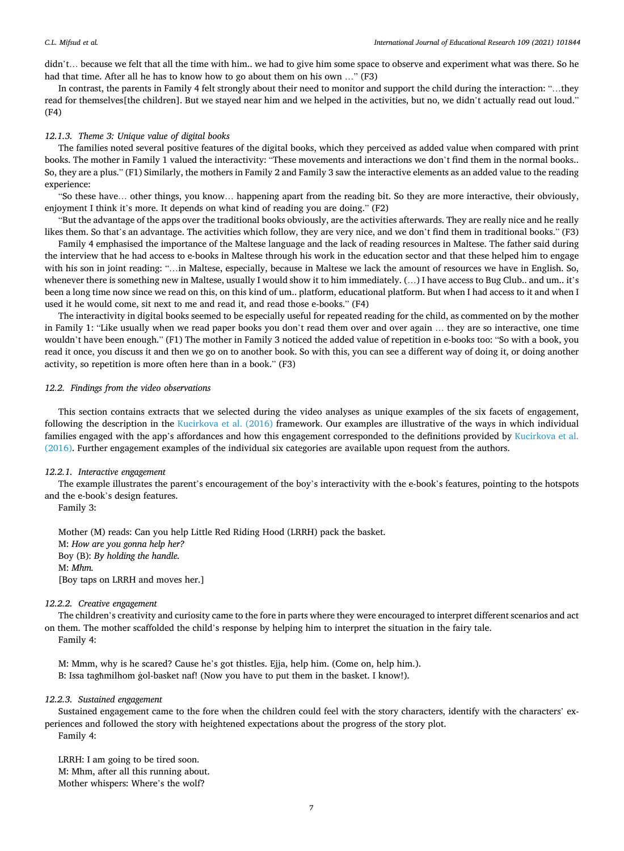didn't... because we felt that all the time with him.. we had to give him some space to observe and experiment what was there. So he had that time. After all he has to know how to go about them on his own …" (F3)

In contrast, the parents in Family 4 felt strongly about their need to monitor and support the child during the interaction: "…they read for themselves[the children]. But we stayed near him and we helped in the activities, but no, we didn't actually read out loud." (F4)

# *12.1.3. Theme 3: Unique value of digital books*

The families noted several positive features of the digital books, which they perceived as added value when compared with print books. The mother in Family 1 valued the interactivity: "These movements and interactions we don't find them in the normal books.. So, they are a plus." (F1) Similarly, the mothers in Family 2 and Family 3 saw the interactive elements as an added value to the reading experience:

"So these have… other things, you know… happening apart from the reading bit. So they are more interactive, their obviously, enjoyment I think it's more. It depends on what kind of reading you are doing." (F2)

"But the advantage of the apps over the traditional books obviously, are the activities afterwards. They are really nice and he really likes them. So that's an advantage. The activities which follow, they are very nice, and we don't find them in traditional books." (F3)

Family 4 emphasised the importance of the Maltese language and the lack of reading resources in Maltese. The father said during the interview that he had access to e-books in Maltese through his work in the education sector and that these helped him to engage with his son in joint reading: "…in Maltese, especially, because in Maltese we lack the amount of resources we have in English. So, whenever there is something new in Maltese, usually I would show it to him immediately. (...) I have access to Bug Club.. and um.. it's been a long time now since we read on this, on this kind of um.. platform, educational platform. But when I had access to it and when I used it he would come, sit next to me and read it, and read those e-books." (F4)

The interactivity in digital books seemed to be especially useful for repeated reading for the child, as commented on by the mother in Family 1: "Like usually when we read paper books you don't read them over and over again … they are so interactive, one time wouldn't have been enough." (F1) The mother in Family 3 noticed the added value of repetition in e-books too: "So with a book, you read it once, you discuss it and then we go on to another book. So with this, you can see a different way of doing it, or doing another activity, so repetition is more often here than in a book." (F3)

# *12.2. Findings from the video observations*

This section contains extracts that we selected during the video analyses as unique examples of the six facets of engagement, following the description in the [Kucirkova et al. \(2016\)](#page-9-0) framework. Our examples are illustrative of the ways in which individual families engaged with the app's affordances and how this engagement corresponded to the definitions provided by [Kucirkova et al.](#page-9-0) [\(2016\).](#page-9-0) Further engagement examples of the individual six categories are available upon request from the authors.

#### *12.2.1. Interactive engagement*

The example illustrates the parent's encouragement of the boy's interactivity with the e-book's features, pointing to the hotspots and the e-book's design features.

Family 3:

Mother (M) reads: Can you help Little Red Riding Hood (LRRH) pack the basket. M: *How are you gonna help her?*  Boy (B): *By holding the handle.*  M: *Mhm.*  [Boy taps on LRRH and moves her.]

# *12.2.2. Creative engagement*

The children's creativity and curiosity came to the fore in parts where they were encouraged to interpret different scenarios and act on them. The mother scaffolded the child's response by helping him to interpret the situation in the fairy tale.

#### Family 4:

M: Mmm, why is he scared? Cause he's got thistles. Ejja, help him. (Come on, help him.). B: Issa taghmilhom gol-basket naf! (Now you have to put them in the basket. I know!).

# *12.2.3. Sustained engagement*

Sustained engagement came to the fore when the children could feel with the story characters, identify with the characters' experiences and followed the story with heightened expectations about the progress of the story plot.

Family 4:

LRRH: I am going to be tired soon. M: Mhm, after all this running about. Mother whispers: Where's the wolf?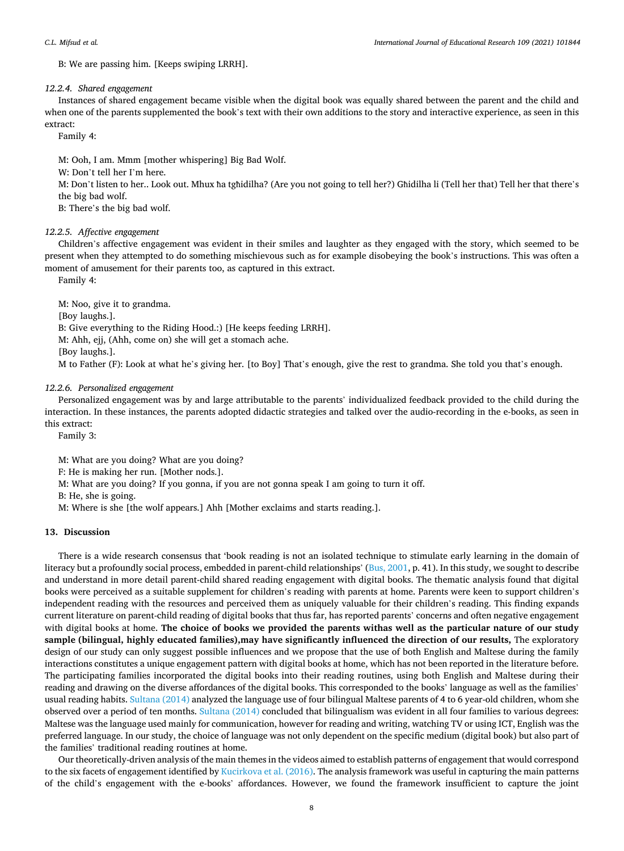B: We are passing him. [Keeps swiping LRRH].

# *12.2.4. Shared engagement*

Instances of shared engagement became visible when the digital book was equally shared between the parent and the child and when one of the parents supplemented the book's text with their own additions to the story and interactive experience, as seen in this extract:

Family 4:

M: Ooh, I am. Mmm [mother whispering] Big Bad Wolf.

W: Don't tell her I'm here.

M: Don't listen to her.. Look out. Mhux ħa tgħidilha? (Are you not going to tell her?) Għidilha li (Tell her that) Tell her that there's the big bad wolf.

B: There's the big bad wolf.

# *12.2.5. Affective engagement*

Children's affective engagement was evident in their smiles and laughter as they engaged with the story, which seemed to be present when they attempted to do something mischievous such as for example disobeying the book's instructions. This was often a moment of amusement for their parents too, as captured in this extract.

Family 4:

M: Noo, give it to grandma.

[Boy laughs.].

[Boy laughs.].

B: Give everything to the Riding Hood.:) [He keeps feeding LRRH].

M: Ahh, ejj, (Ahh, come on) she will get a stomach ache.

# M to Father (F): Look at what he's giving her. [to Boy] That's enough, give the rest to grandma. She told you that's enough.

# *12.2.6. Personalized engagement*

Personalized engagement was by and large attributable to the parents' individualized feedback provided to the child during the interaction. In these instances, the parents adopted didactic strategies and talked over the audio-recording in the e-books, as seen in this extract:

Family 3:

M: What are you doing? What are you doing?

F: He is making her run. [Mother nods.].

M: What are you doing? If you gonna, if you are not gonna speak I am going to turn it off.

B: He, she is going.

M: Where is she [the wolf appears.] Ahh [Mother exclaims and starts reading.].

# **13. Discussion**

There is a wide research consensus that 'book reading is not an isolated technique to stimulate early learning in the domain of literacy but a profoundly social process, embedded in parent-child relationships' ([Bus, 2001](#page-9-0), p. 41). In this study, we sought to describe and understand in more detail parent-child shared reading engagement with digital books. The thematic analysis found that digital books were perceived as a suitable supplement for children's reading with parents at home. Parents were keen to support children's independent reading with the resources and perceived them as uniquely valuable for their children's reading. This finding expands current literature on parent-child reading of digital books that thus far, has reported parents' concerns and often negative engagement with digital books at home. **The choice of books we provided the parents withas well as the particular nature of our study**  sample (bilingual, highly educated families), may have significantly influenced the direction of our results, The exploratory design of our study can only suggest possible influences and we propose that the use of both English and Maltese during the family interactions constitutes a unique engagement pattern with digital books at home, which has not been reported in the literature before. The participating families incorporated the digital books into their reading routines, using both English and Maltese during their reading and drawing on the diverse affordances of the digital books. This corresponded to the books' language as well as the families' usual reading habits. [Sultana \(2014\)](#page-10-0) analyzed the language use of four bilingual Maltese parents of 4 to 6 year-old children, whom she observed over a period of ten months. [Sultana \(2014\)](#page-10-0) concluded that bilingualism was evident in all four families to various degrees: Maltese was the language used mainly for communication, however for reading and writing, watching TV or using ICT, English was the preferred language. In our study, the choice of language was not only dependent on the specific medium (digital book) but also part of the families' traditional reading routines at home.

Our theoretically-driven analysis of the main themes in the videos aimed to establish patterns of engagement that would correspond to the six facets of engagement identified by [Kucirkova et al. \(2016\)](#page-9-0). The analysis framework was useful in capturing the main patterns of the child's engagement with the e-books' affordances. However, we found the framework insufficient to capture the joint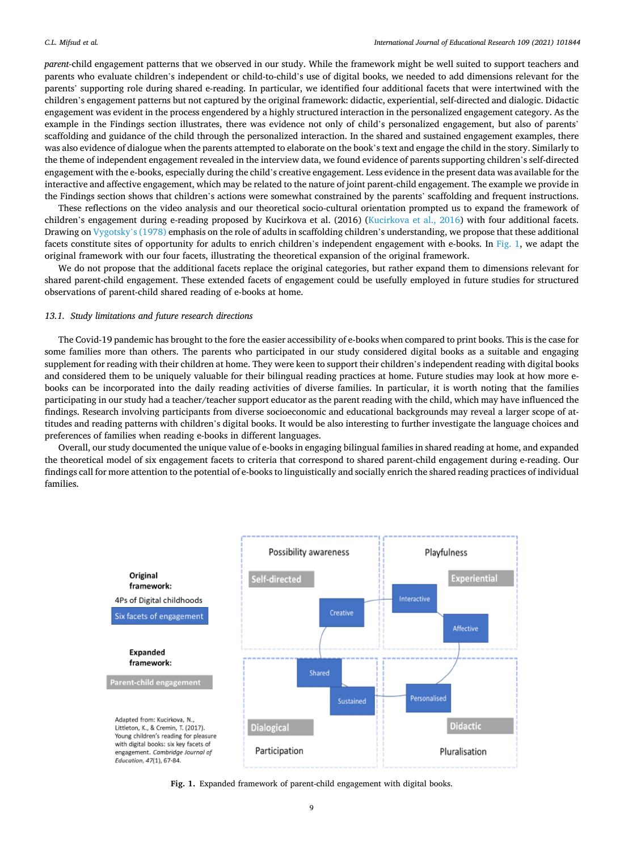*parent-*child engagement patterns that we observed in our study. While the framework might be well suited to support teachers and parents who evaluate children's independent or child-to-child's use of digital books, we needed to add dimensions relevant for the parents' supporting role during shared e-reading. In particular, we identified four additional facets that were intertwined with the children's engagement patterns but not captured by the original framework: didactic, experiential, self-directed and dialogic. Didactic engagement was evident in the process engendered by a highly structured interaction in the personalized engagement category. As the example in the Findings section illustrates, there was evidence not only of child's personalized engagement, but also of parents' scaffolding and guidance of the child through the personalized interaction. In the shared and sustained engagement examples, there was also evidence of dialogue when the parents attempted to elaborate on the book's text and engage the child in the story. Similarly to the theme of independent engagement revealed in the interview data, we found evidence of parents supporting children's self-directed engagement with the e-books, especially during the child's creative engagement. Less evidence in the present data was available for the interactive and affective engagement, which may be related to the nature of joint parent-child engagement. The example we provide in the Findings section shows that children's actions were somewhat constrained by the parents' scaffolding and frequent instructions.

These reflections on the video analysis and our theoretical socio-cultural orientation prompted us to expand the framework of children's engagement during e-reading proposed by Kucirkova et al. (2016) ([Kucirkova et al., 2016\)](#page-9-0) with four additional facets. Drawing on [Vygotsky](#page-10-0)'s (1978) emphasis on the role of adults in scaffolding children's understanding, we propose that these additional facets constitute sites of opportunity for adults to enrich children's independent engagement with e-books. In Fig. 1, we adapt the original framework with our four facets, illustrating the theoretical expansion of the original framework.

We do not propose that the additional facets replace the original categories, but rather expand them to dimensions relevant for shared parent-child engagement. These extended facets of engagement could be usefully employed in future studies for structured observations of parent-child shared reading of e-books at home.

# *13.1. Study limitations and future research directions*

The Covid-19 pandemic has brought to the fore the easier accessibility of e-books when compared to print books. This is the case for some families more than others. The parents who participated in our study considered digital books as a suitable and engaging supplement for reading with their children at home. They were keen to support their children's independent reading with digital books and considered them to be uniquely valuable for their bilingual reading practices at home. Future studies may look at how more ebooks can be incorporated into the daily reading activities of diverse families. In particular, it is worth noting that the families participating in our study had a teacher/teacher support educator as the parent reading with the child, which may have influenced the findings. Research involving participants from diverse socioeconomic and educational backgrounds may reveal a larger scope of attitudes and reading patterns with children's digital books. It would be also interesting to further investigate the language choices and preferences of families when reading e-books in different languages.

Overall, our study documented the unique value of e-books in engaging bilingual families in shared reading at home, and expanded the theoretical model of six engagement facets to criteria that correspond to shared parent-child engagement during e-reading. Our findings call for more attention to the potential of e-books to linguistically and socially enrich the shared reading practices of individual families.



**Fig. 1.** Expanded framework of parent-child engagement with digital books.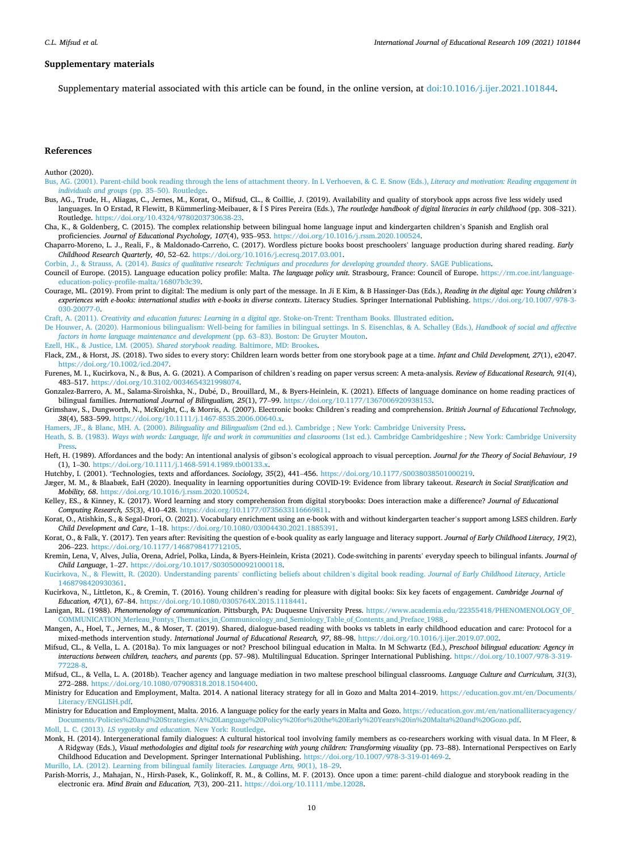#### <span id="page-9-0"></span>**Supplementary materials**

Supplementary material associated with this article can be found, in the online version, at doi:10.1016/i.jier.2021.101844.

# **References**

Author (2020).

- [Bus, AG. \(2001\). Parent-child book reading through the lens of attachment theory. In L Verhoeven, & C. E. Snow \(Eds.\),](http://refhub.elsevier.com/S0883-0355(21)00113-0/sbref0002) *Literacy and motivation: Reading engagement in [individuals and groups](http://refhub.elsevier.com/S0883-0355(21)00113-0/sbref0002)* (pp. 35–50). Routledge.
- Bus, AG., Trude, H., Aliagas, C., Jernes, M., Korat, O., Mifsud, CL., & Coillie, J. (2019). Availability and quality of storybook apps across five less widely used languages. In O Erstad, R Flewitt, B Kümmerling-Meibauer, & Í S Pires Pereira (Eds.), The routledge handbook of digital literacies in early childhood (pp. 308-321). Routledge.<https://doi.org/10.4324/9780203730638-23>.
- Cha, K., & Goldenberg, C. (2015). The complex relationship between bilingual home language input and kindergarten children's Spanish and English oral proficiencies. *Journal of Educational Psychology, 107*(4), 935–953. [https://doi.org/10.1016/j.rssm.2020.100524.](https://doi.org/10.1016/j.rssm.2020.100524)
- Chaparro-Moreno, L. J., Reali, F., & Maldonado-Carreño, C. (2017). Wordless picture books boost preschoolers' language production during shared reading. *Early Childhood Research Quarterly, 40*, 52–62. <https://doi.org/10.1016/j.ecresq.2017.03.001>.

Corbin, J., & Strauss, A. (2014). *[Basics of qualitative research: Techniques and procedures for developing grounded theory](http://refhub.elsevier.com/S0883-0355(21)00113-0/sbref0006)*. SAGE Publications.

- Council of Europe. (2015). Language education policy profile: Malta. *The language policy unit*. Strasbourg, France: Council of Europe. [https://rm.coe.int/language](https://rm.coe.int/language-education-policy-profile-malta/16807b3c39)[education-policy-profile-malta/16807b3c39.](https://rm.coe.int/language-education-policy-profile-malta/16807b3c39)
- Courage, ML. (2019). From print to digital: The medium is only part of the message. In Ji E Kim, & B Hassinger-Das (Eds.), *Reading in the digital age: Young children's experiences with e-books: international studies with e-books in diverse contexts*. Literacy Studies. Springer International Publishing. [https://doi.org/10.1007/978-3-](https://doi.org/10.1007/978-3-030-20077-0) [030-20077-0](https://doi.org/10.1007/978-3-030-20077-0).
- Craft, A. (2011). *[Creativity and education futures: Learning in a digital age](http://refhub.elsevier.com/S0883-0355(21)00113-0/sbref0009)*. Stoke-on-Trent: Trentham Books. Illustrated edition.
- [De Houwer, A. \(2020\). Harmonious bilingualism: Well-being for families in bilingual settings. In S. Eisenchlas, & A. Schalley \(Eds.\),](http://refhub.elsevier.com/S0883-0355(21)00113-0/sbref0010) *Handbook of social and affective [factors in home language maintenance and development](http://refhub.elsevier.com/S0883-0355(21)00113-0/sbref0010)* (pp. 63–83). Boston: De Gruyter Mouton.
- [Ezell, HK., & Justice, LM. \(2005\).](http://refhub.elsevier.com/S0883-0355(21)00113-0/sbref0011) *Shared storybook reading*. Baltimore, MD: Brookes.
- Flack, ZM., & Horst, JS. (2018). Two sides to every story: Children learn words better from one storybook page at a time. *Infant and Child Development, 27*(1), e2047. <https://doi.org/10.1002/icd.2047>.
- Furenes, M. I., Kucirkova, N., & Bus, A. G. (2021). A Comparison of children's reading on paper versus screen: A meta-analysis. *Review of Educational Research, 91*(4), 483–517. [https://doi.org/10.3102/0034654321998074.](https://doi.org/10.3102/0034654321998074)
- Gonzalez-Barrero, A. M., Salama-Siroishka, N., Dubé, D., Brouillard, M., & Byers-Heinlein, K. (2021). Effects of language dominance on home reading practices of bilingual families. *International Journal of Bilingualism, 25*(1), 77–99. <https://doi.org/10.1177/1367006920938153>.
- Grimshaw, S., Dungworth, N., McKnight, C., & Morris, A. (2007). Electronic books: Children's reading and comprehension. *British Journal of Educational Technology, 38*(4), 583–599. <https://doi.org/10.1111/j.1467-8535.2006.00640.x>.

Hamers, JF., & Blanc, MH. A. (2000). *Bilinguality and Bilingualism* [\(2nd ed.\). Cambridge ; New York: Cambridge University Press.](http://refhub.elsevier.com/S0883-0355(21)00113-0/sbref0017)

- Heath, S. B. (1983). *Ways with words: Language, life and work in communities and classrooms* [\(1st ed.\). Cambridge Cambridgeshire ; New York: Cambridge University](http://refhub.elsevier.com/S0883-0355(21)00113-0/sbref0018) **Dress**
- Heft, H. (1989). Affordances and the body: An intentional analysis of gibson's ecological approach to visual perception. *Journal for the Theory of Social Behaviour, 19*  (1), 1-30. https://doi.org/10.1111/j.1468-5914.1989.tb00133.y

Hutchby, I. (2001). 'Technologies, texts and affordances. *Sociology, 35*(2), 441–456. <https://doi.org/10.1177/S0038038501000219>.

- Jæger, M. M., & Blaabæk, EaH (2020). Inequality in learning opportunities during COVID-19: Evidence from library takeout. *Research in Social Stratification and Mobility, 68*. [https://doi.org/10.1016/j.rssm.2020.100524.](https://doi.org/10.1016/j.rssm.2020.100524)
- Kelley, ES., & Kinney, K. (2017). Word learning and story comprehension from digital storybooks: Does interaction make a difference? *Journal of Educational Computing Research, 55*(3), 410–428. [https://doi.org/10.1177/0735633116669811.](https://doi.org/10.1177/0735633116669811)
- Korat, O., Atishkin, S., & Segal-Drori, O. (2021). Vocabulary enrichment using an e-book with and without kindergarten teacher's support among LSES children. *Early Child Development and Care*, 1–18. <https://doi.org/10.1080/03004430.2021.1885391>.
- Korat, O., & Falk, Y. (2017). Ten years after: Revisiting the question of e-book quality as early language and literacy support. *Journal of Early Childhood Literacy, 19*(2), 206–223. [https://doi.org/10.1177/1468798417712105.](https://doi.org/10.1177/1468798417712105)
- Kremin, Lena, V, Alves, Julia, Orena, Adriel, Polka, Linda, & Byers-Heinlein, Krista (2021). Code-switching in parents' everyday speech to bilingual infants. *Journal of Child Language*, 1–27. [https://doi.org/10.1017/S0305000921000118.](https://doi.org/10.1017/S0305000921000118)
- [Kucirkova, N., & Flewitt, R. \(2020\). Understanding parents](http://refhub.elsevier.com/S0883-0355(21)00113-0/sbref0060)' conflicting beliefs about children's digital book reading. *Journal of Early Childhood Literacy*, Article [1468798420930361](http://refhub.elsevier.com/S0883-0355(21)00113-0/sbref0060).
- Kucirkova, N., Littleton, K., & Cremin, T. (2016). Young children's reading for pleasure with digital books: Six key facets of engagement. *Cambridge Journal of Education, 47*(1), 67–84. <https://doi.org/10.1080/0305764X.2015.1118441>.
- Lanigan, RL. (1988). Phenomenology of communication. Pittsburgh, PA: Duquesne University Press. [https://www.academia.edu/22355418/PHENOMENOLOGY\\_OF\\_](https://www.academia.edu/22355418/PHENOMENOLOGY_OF_COMMUNICATION_Merleau_Pontys_Thematics_in_Communicology_and_Semiology_Table_of_Contents_and_Preface_1988_) [COMMUNICATION\\_Merleau\\_Pontys\\_Thematics\\_in\\_Communicology\\_and\\_Semiology\\_Table\\_of\\_Contents\\_and\\_Preface\\_1988\\_](https://www.academia.edu/22355418/PHENOMENOLOGY_OF_COMMUNICATION_Merleau_Pontys_Thematics_in_Communicology_and_Semiology_Table_of_Contents_and_Preface_1988_).
- Mangen, A., Hoel, T., Jernes, M., & Moser, T. (2019). Shared, dialogue-based reading with books vs tablets in early childhood education and care: Protocol for a mixed-methods intervention study. *International Journal of Educational Research, 97*, 88–98. <https://doi.org/10.1016/j.ijer.2019.07.002>.
- Mifsud, CL., & Vella, L. A. (2018a). To mix languages or not? Preschool bilingual education in Malta. In M Schwartz (Ed.), *Preschool bilingual education: Agency in interactions between children, teachers, and parents* (pp. 57–98). Multilingual Education. Springer International Publishing. [https://doi.org/10.1007/978-3-319-](https://doi.org/10.1007/978-3-319-77228-8)  [77228-8.](https://doi.org/10.1007/978-3-319-77228-8)
- Mifsud, CL., & Vella, L. A. (2018b). Teacher agency and language mediation in two maltese preschool bilingual classrooms. *Language Culture and Curriculum, 31*(3), 272–288. <https://doi.org/10.1080/07908318.2018.1504400>.
- Ministry for Education and Employment, Malta. 2014. A national literacy strategy for all in Gozo and Malta 2014–2019. [https://education.gov.mt/en/Documents/](https://education.gov.mt/en/Documents/Literacy/ENGLISH.pdf) [Literacy/ENGLISH.pdf](https://education.gov.mt/en/Documents/Literacy/ENGLISH.pdf).
- Ministry for Education and Employment, Malta. 2016. A language policy for the early years in Malta and Gozo. [https://education.gov.mt/en/nationalliteracyagency/](https://education.gov.mt/en/nationalliteracyagency/Documents/Policies%20and%20Strategies/A%20Language%20Policy%20for%20the%20Early%20Years%20in%20Malta%20and%20Gozo.pdf) [Documents/Policies%20and%20Strategies/A%20Language%20Policy%20for%20the%20Early%20Years%20in%20Malta%20and%20Gozo.pdf](https://education.gov.mt/en/nationalliteracyagency/Documents/Policies%20and%20Strategies/A%20Language%20Policy%20for%20the%20Early%20Years%20in%20Malta%20and%20Gozo.pdf). Moll, L. C. (2013). *[LS vygotsky and education](http://refhub.elsevier.com/S0883-0355(21)00113-0/sbref0033)*. New York: Routledge.
- Monk, H. (2014). Intergenerational family dialogues: A cultural historical tool involving family members as co-researchers working with visual data. In M Fleer, & A Ridgway (Eds.), *Visual methodologies and digital tools for researching with young children: Transforming visuality* (pp. 73–88). International Perspectives on Early Childhood Education and Development. Springer International Publishing. [https://doi.org/10.1007/978-3-319-01469-2.](https://doi.org/10.1007/978-3-319-01469-2)
- [Murillo, LA. \(2012\). Learning from bilingual family literacies.](http://refhub.elsevier.com/S0883-0355(21)00113-0/sbref0035) *Language Arts, 90*(1), 18–29.
- Parish-Morris, J., Mahajan, N., Hirsh-Pasek, K., Golinkoff, R. M., & Collins, M. F. (2013). Once upon a time: parent–child dialogue and storybook reading in the electronic era. *Mind Brain and Education, 7*(3), 200–211. <https://doi.org/10.1111/mbe.12028>.